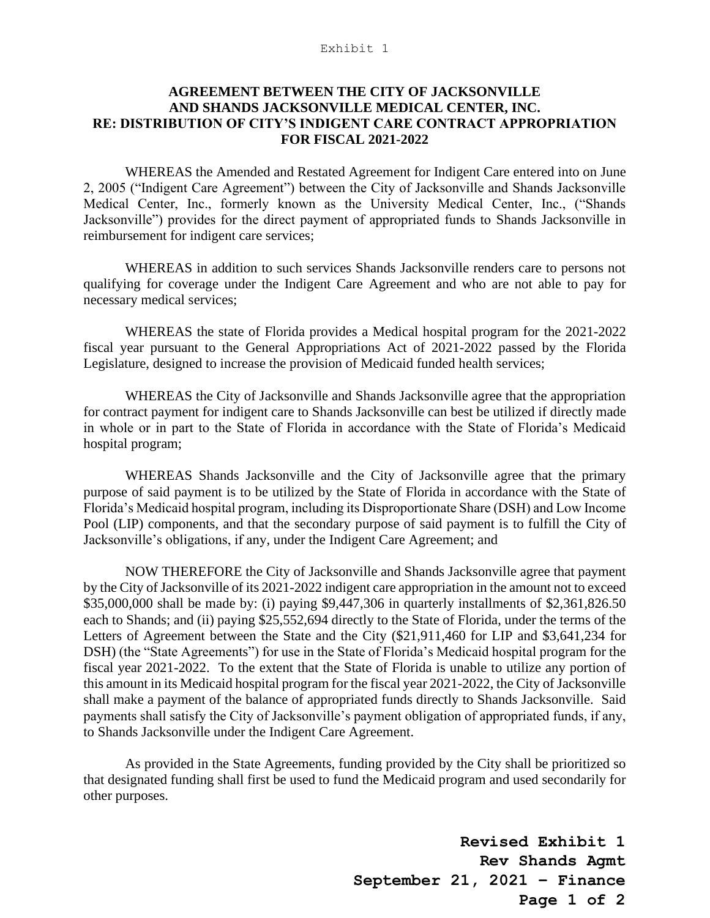## Exhibit 1

## **AGREEMENT BETWEEN THE CITY OF JACKSONVILLE AND SHANDS JACKSONVILLE MEDICAL CENTER, INC. RE: DISTRIBUTION OF CITY'S INDIGENT CARE CONTRACT APPROPRIATION FOR FISCAL 2021-2022**

WHEREAS the Amended and Restated Agreement for Indigent Care entered into on June 2, 2005 ("Indigent Care Agreement") between the City of Jacksonville and Shands Jacksonville Medical Center, Inc., formerly known as the University Medical Center, Inc., ("Shands Jacksonville") provides for the direct payment of appropriated funds to Shands Jacksonville in reimbursement for indigent care services;

WHEREAS in addition to such services Shands Jacksonville renders care to persons not qualifying for coverage under the Indigent Care Agreement and who are not able to pay for necessary medical services;

WHEREAS the state of Florida provides a Medical hospital program for the 2021-2022 fiscal year pursuant to the General Appropriations Act of 2021-2022 passed by the Florida Legislature, designed to increase the provision of Medicaid funded health services;

WHEREAS the City of Jacksonville and Shands Jacksonville agree that the appropriation for contract payment for indigent care to Shands Jacksonville can best be utilized if directly made in whole or in part to the State of Florida in accordance with the State of Florida's Medicaid hospital program;

WHEREAS Shands Jacksonville and the City of Jacksonville agree that the primary purpose of said payment is to be utilized by the State of Florida in accordance with the State of Florida's Medicaid hospital program, including its Disproportionate Share (DSH) and Low Income Pool (LIP) components, and that the secondary purpose of said payment is to fulfill the City of Jacksonville's obligations, if any, under the Indigent Care Agreement; and

NOW THEREFORE the City of Jacksonville and Shands Jacksonville agree that payment by the City of Jacksonville of its 2021-2022 indigent care appropriation in the amount not to exceed \$35,000,000 shall be made by: (i) paying \$9,447,306 in quarterly installments of \$2,361,826.50 each to Shands; and (ii) paying \$25,552,694 directly to the State of Florida, under the terms of the Letters of Agreement between the State and the City (\$21,911,460 for LIP and \$3,641,234 for DSH) (the "State Agreements") for use in the State of Florida's Medicaid hospital program for the fiscal year 2021-2022. To the extent that the State of Florida is unable to utilize any portion of this amount in its Medicaid hospital program for the fiscal year 2021-2022, the City of Jacksonville shall make a payment of the balance of appropriated funds directly to Shands Jacksonville. Said payments shall satisfy the City of Jacksonville's payment obligation of appropriated funds, if any, to Shands Jacksonville under the Indigent Care Agreement.

As provided in the State Agreements, funding provided by the City shall be prioritized so that designated funding shall first be used to fund the Medicaid program and used secondarily for other purposes.

> **Revised Exhibit 1 Rev Shands Agmt September 21, 2021 – Finance Page 1 of 2**